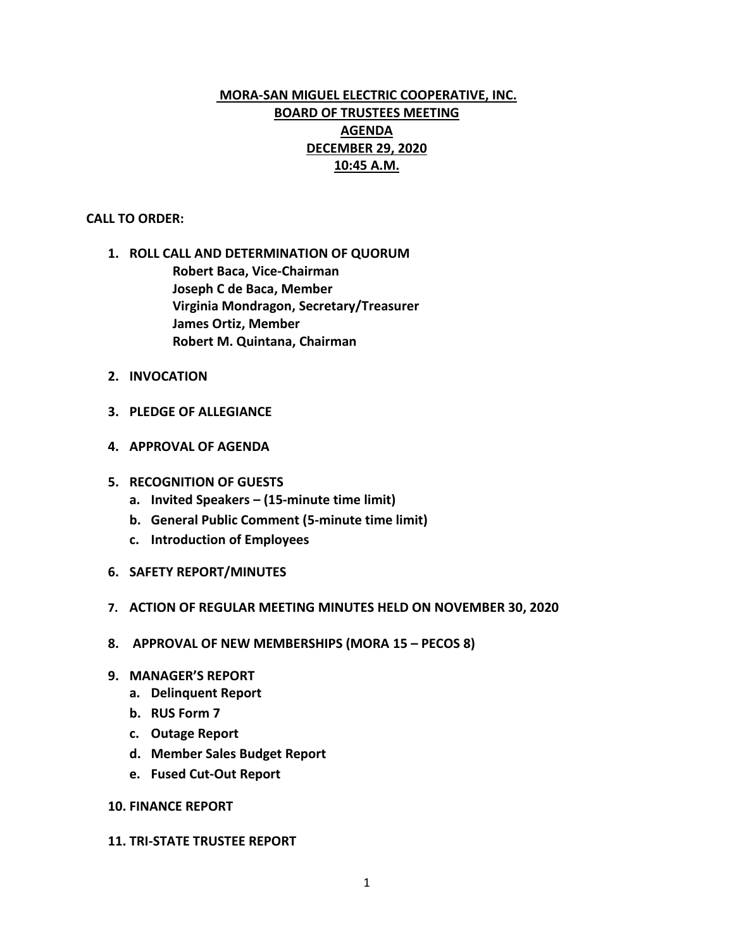# **MORA-SAN MIGUEL ELECTRIC COOPERATIVE, INC. BOARD OF TRUSTEES MEETING AGENDA DECEMBER 29, 2020 10:45 A.M.**

### **CALL TO ORDER:**

- **1. ROLL CALL AND DETERMINATION OF QUORUM Robert Baca, Vice-Chairman Joseph C de Baca, Member Virginia Mondragon, Secretary/Treasurer James Ortiz, Member Robert M. Quintana, Chairman**
- **2. INVOCATION**
- **3. PLEDGE OF ALLEGIANCE**
- **4. APPROVAL OF AGENDA**
- **5. RECOGNITION OF GUESTS**
	- **a. Invited Speakers – (15-minute time limit)**
	- **b. General Public Comment (5-minute time limit)**
	- **c. Introduction of Employees**
- **6. SAFETY REPORT/MINUTES**
- **7. ACTION OF REGULAR MEETING MINUTES HELD ON NOVEMBER 30, 2020**
- **8. APPROVAL OF NEW MEMBERSHIPS (MORA 15 – PECOS 8)**
- **9. MANAGER'S REPORT**
	- **a. Delinquent Report**
	- **b. RUS Form 7**
	- **c. Outage Report**
	- **d. Member Sales Budget Report**
	- **e. Fused Cut-Out Report**

### **10. FINANCE REPORT**

#### **11. TRI-STATE TRUSTEE REPORT**